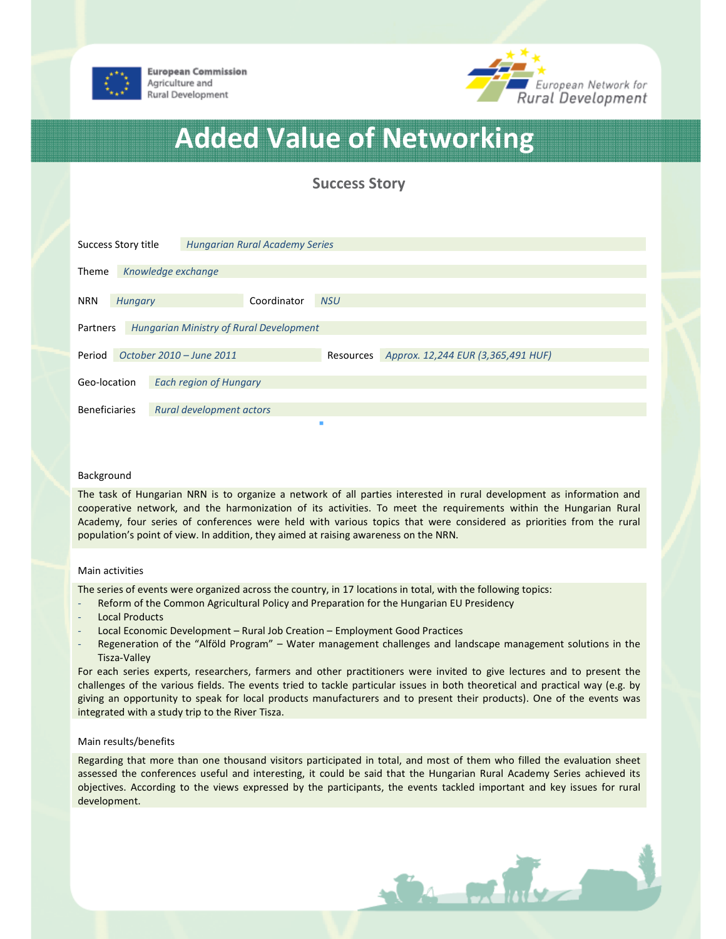

**European Commission** Agriculture and Rural Development



# Added Value of Networking

Success Story

| Success Story title                                 |                | <b>Hungarian Rural Academy Series</b> |             |            |                                    |  |  |
|-----------------------------------------------------|----------------|---------------------------------------|-------------|------------|------------------------------------|--|--|
| <b>Theme</b>                                        |                | Knowledge exchange                    |             |            |                                    |  |  |
| <b>NRN</b>                                          | <b>Hungary</b> |                                       | Coordinator | <b>NSU</b> |                                    |  |  |
| Hungarian Ministry of Rural Development<br>Partners |                |                                       |             |            |                                    |  |  |
| Period                                              |                | October 2010 – June 2011              |             | Resources  | Approx. 12,244 EUR (3,365,491 HUF) |  |  |
| Geo-location                                        |                | <b>Each region of Hungary</b>         |             |            |                                    |  |  |
| <b>Beneficiaries</b>                                |                | Rural development actors              |             |            |                                    |  |  |

# Background

The task of Hungarian NRN is to organize a network of all parties interested in rural development as information and cooperative network, and the harmonization of its activities. To meet the requirements within the Hungarian Rural Academy, four series of conferences were held with various topics that were considered as priorities from the rural population's point of view. In addition, they aimed at raising awareness on the NRN.

#### Main activities

The series of events were organized across the country, in 17 locations in total, with the following topics:

- Reform of the Common Agricultural Policy and Preparation for the Hungarian EU Presidency
- Local Products
- Local Economic Development Rural Job Creation Employment Good Practices
- Regeneration of the "Alföld Program" Water management challenges and landscape management solutions in the Tisza-Valley

For each series experts, researchers, farmers and other practitioners were invited to give lectures and to present the challenges of the various fields. The events tried to tackle particular issues in both theoretical and practical way (e.g. by giving an opportunity to speak for local products manufacturers and to present their products). One of the events was integrated with a study trip to the River Tisza.

# Main results/benefits

Regarding that more than one thousand visitors participated in total, and most of them who filled the evaluation sheet assessed the conferences useful and interesting, it could be said that the Hungarian Rural Academy Series achieved its objectives. According to the views expressed by the participants, the events tackled important and key issues for rural development.